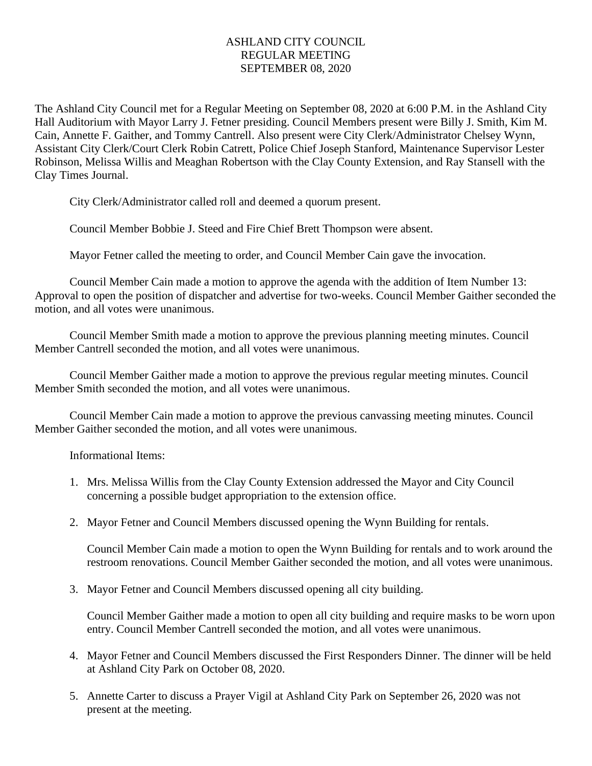## ASHLAND CITY COUNCIL REGULAR MEETING SEPTEMBER 08, 2020

The Ashland City Council met for a Regular Meeting on September 08, 2020 at 6:00 P.M. in the Ashland City Hall Auditorium with Mayor Larry J. Fetner presiding. Council Members present were Billy J. Smith, Kim M. Cain, Annette F. Gaither, and Tommy Cantrell. Also present were City Clerk/Administrator Chelsey Wynn, Assistant City Clerk/Court Clerk Robin Catrett, Police Chief Joseph Stanford, Maintenance Supervisor Lester Robinson, Melissa Willis and Meaghan Robertson with the Clay County Extension, and Ray Stansell with the Clay Times Journal.

City Clerk/Administrator called roll and deemed a quorum present.

Council Member Bobbie J. Steed and Fire Chief Brett Thompson were absent.

Mayor Fetner called the meeting to order, and Council Member Cain gave the invocation.

Council Member Cain made a motion to approve the agenda with the addition of Item Number 13: Approval to open the position of dispatcher and advertise for two-weeks. Council Member Gaither seconded the motion, and all votes were unanimous.

Council Member Smith made a motion to approve the previous planning meeting minutes. Council Member Cantrell seconded the motion, and all votes were unanimous.

Council Member Gaither made a motion to approve the previous regular meeting minutes. Council Member Smith seconded the motion, and all votes were unanimous.

Council Member Cain made a motion to approve the previous canvassing meeting minutes. Council Member Gaither seconded the motion, and all votes were unanimous.

Informational Items:

- 1. Mrs. Melissa Willis from the Clay County Extension addressed the Mayor and City Council concerning a possible budget appropriation to the extension office.
- 2. Mayor Fetner and Council Members discussed opening the Wynn Building for rentals.

Council Member Cain made a motion to open the Wynn Building for rentals and to work around the restroom renovations. Council Member Gaither seconded the motion, and all votes were unanimous.

3. Mayor Fetner and Council Members discussed opening all city building.

Council Member Gaither made a motion to open all city building and require masks to be worn upon entry. Council Member Cantrell seconded the motion, and all votes were unanimous.

- 4. Mayor Fetner and Council Members discussed the First Responders Dinner. The dinner will be held at Ashland City Park on October 08, 2020.
- 5. Annette Carter to discuss a Prayer Vigil at Ashland City Park on September 26, 2020 was not present at the meeting.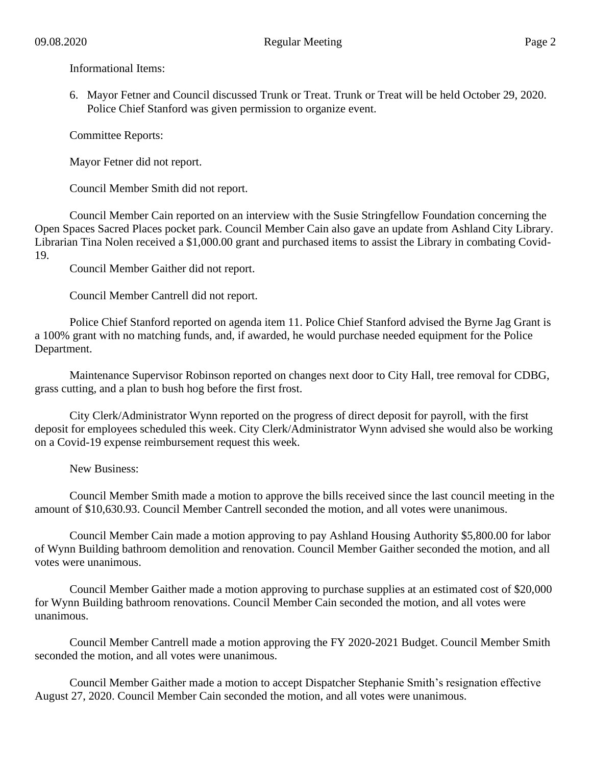Informational Items:

6. Mayor Fetner and Council discussed Trunk or Treat. Trunk or Treat will be held October 29, 2020. Police Chief Stanford was given permission to organize event.

Committee Reports:

Mayor Fetner did not report.

Council Member Smith did not report.

Council Member Cain reported on an interview with the Susie Stringfellow Foundation concerning the Open Spaces Sacred Places pocket park. Council Member Cain also gave an update from Ashland City Library. Librarian Tina Nolen received a \$1,000.00 grant and purchased items to assist the Library in combating Covid-19.

Council Member Gaither did not report.

Council Member Cantrell did not report.

Police Chief Stanford reported on agenda item 11. Police Chief Stanford advised the Byrne Jag Grant is a 100% grant with no matching funds, and, if awarded, he would purchase needed equipment for the Police Department.

Maintenance Supervisor Robinson reported on changes next door to City Hall, tree removal for CDBG, grass cutting, and a plan to bush hog before the first frost.

City Clerk/Administrator Wynn reported on the progress of direct deposit for payroll, with the first deposit for employees scheduled this week. City Clerk/Administrator Wynn advised she would also be working on a Covid-19 expense reimbursement request this week.

New Business:

Council Member Smith made a motion to approve the bills received since the last council meeting in the amount of \$10,630.93. Council Member Cantrell seconded the motion, and all votes were unanimous.

Council Member Cain made a motion approving to pay Ashland Housing Authority \$5,800.00 for labor of Wynn Building bathroom demolition and renovation. Council Member Gaither seconded the motion, and all votes were unanimous.

Council Member Gaither made a motion approving to purchase supplies at an estimated cost of \$20,000 for Wynn Building bathroom renovations. Council Member Cain seconded the motion, and all votes were unanimous.

Council Member Cantrell made a motion approving the FY 2020-2021 Budget. Council Member Smith seconded the motion, and all votes were unanimous.

Council Member Gaither made a motion to accept Dispatcher Stephanie Smith's resignation effective August 27, 2020. Council Member Cain seconded the motion, and all votes were unanimous.